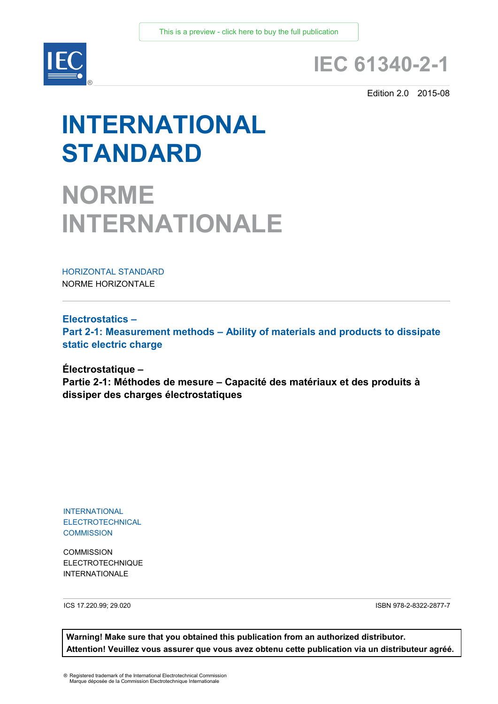

## **IEC 61340-2-1**

Edition 2.0 2015-08

# **INTERNATIONAL STANDARD**

**NORME INTERNATIONALE**

HORIZONTAL STANDARD NORME HORIZONTALE

**Electrostatics – Part 2-1: Measurement methods – Ability of materials and products to dissipate static electric charge**

**Électrostatique – Partie 2-1: Méthodes de mesure – Capacité des matériaux et des produits à dissiper des charges électrostatiques**

INTERNATIONAL ELECTROTECHNICAL **COMMISSION** 

**COMMISSION** ELECTROTECHNIQUE INTERNATIONALE

ICS 17.220.99; 29.020 ISBN 978-2-8322-2877-7

**Warning! Make sure that you obtained this publication from an authorized distributor. Attention! Veuillez vous assurer que vous avez obtenu cette publication via un distributeur agréé.**

® Registered trademark of the International Electrotechnical Commission Marque déposée de la Commission Electrotechnique Internationale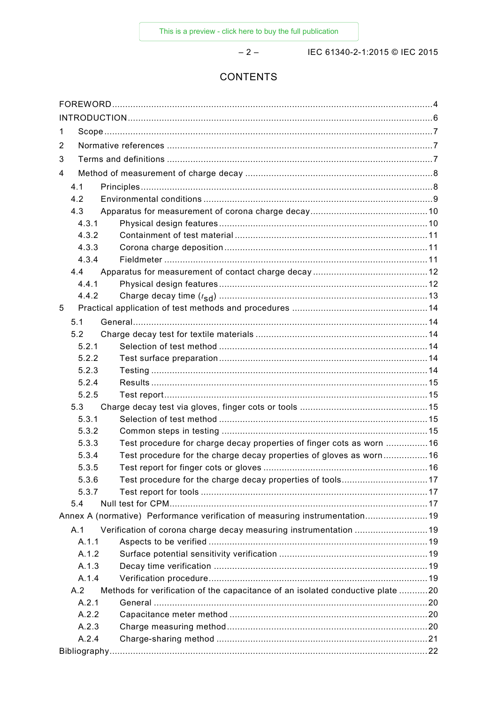$-2-$ 

IEC 61340-2-1:2015 © IEC 2015

### **CONTENTS**

| 1 |       |                                                                                |  |
|---|-------|--------------------------------------------------------------------------------|--|
| 2 |       |                                                                                |  |
| 3 |       |                                                                                |  |
| 4 |       |                                                                                |  |
|   |       |                                                                                |  |
|   | 4.1   |                                                                                |  |
|   | 4.2   |                                                                                |  |
|   | 4.3   |                                                                                |  |
|   | 4.3.1 |                                                                                |  |
|   | 4.3.2 |                                                                                |  |
|   | 4.3.3 |                                                                                |  |
|   | 4.3.4 |                                                                                |  |
|   | 4.4   |                                                                                |  |
|   | 4.4.1 |                                                                                |  |
|   | 4.4.2 |                                                                                |  |
| 5 |       |                                                                                |  |
|   | 5.1   |                                                                                |  |
|   | 5.2   |                                                                                |  |
|   | 5.2.1 |                                                                                |  |
|   | 5.2.2 |                                                                                |  |
|   | 5.2.3 |                                                                                |  |
|   | 5.2.4 |                                                                                |  |
|   | 5.2.5 |                                                                                |  |
|   | 5.3   |                                                                                |  |
|   | 5.3.1 |                                                                                |  |
|   | 5.3.2 |                                                                                |  |
|   | 5.3.3 | Test procedure for charge decay properties of finger cots as worn  16          |  |
|   | 5.3.4 | Test procedure for the charge decay properties of gloves as worn16             |  |
|   | 5.3.5 |                                                                                |  |
|   | 5.3.6 | Test procedure for the charge decay properties of tools17                      |  |
|   | 5.3.7 |                                                                                |  |
|   | 5.4   |                                                                                |  |
|   |       | Annex A (normative) Performance verification of measuring instrumentation19    |  |
|   | A.1   | Verification of corona charge decay measuring instrumentation 19               |  |
|   | A.1.1 |                                                                                |  |
|   | A.1.2 |                                                                                |  |
|   | A.1.3 |                                                                                |  |
|   | A.1.4 |                                                                                |  |
|   | A.2   | Methods for verification of the capacitance of an isolated conductive plate 20 |  |
|   | A.2.1 |                                                                                |  |
|   | A.2.2 |                                                                                |  |
|   | A.2.3 |                                                                                |  |
|   | A.2.4 |                                                                                |  |
|   |       |                                                                                |  |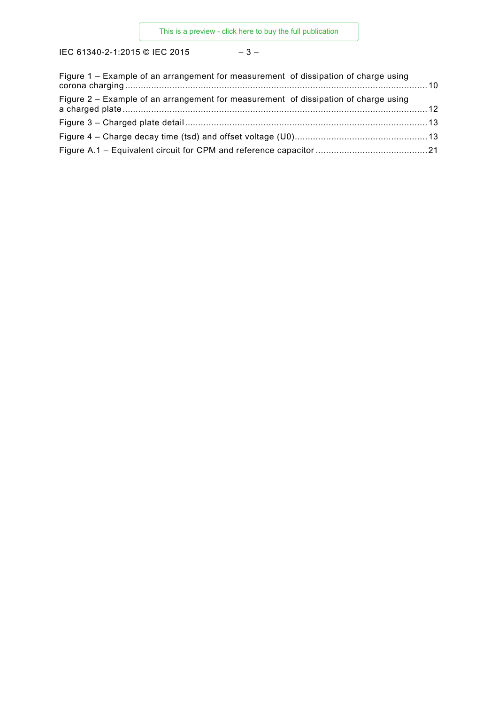IEC 61340-2-1:2015 © IEC 2015 – 3 –

| Figure 1 – Example of an arrangement for measurement of dissipation of charge using |  |
|-------------------------------------------------------------------------------------|--|
| Figure 2 – Example of an arrangement for measurement of dissipation of charge using |  |
|                                                                                     |  |
|                                                                                     |  |
|                                                                                     |  |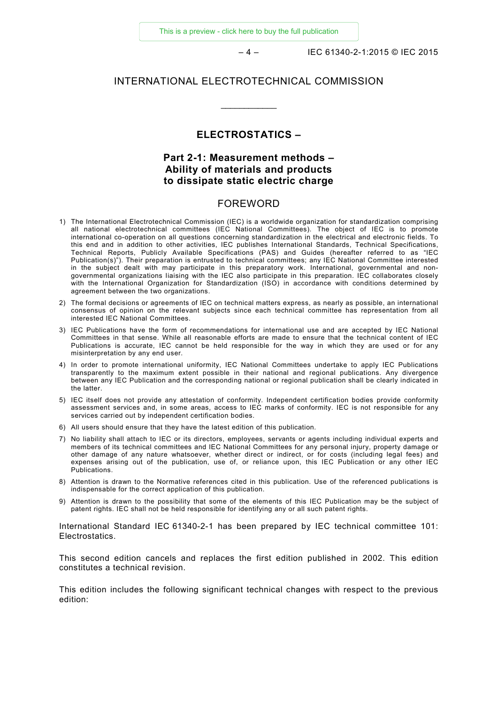[This is a preview - click here to buy the full publication](https://webstore.iec.ch/publication/23186&preview=1)

– 4 – IEC 61340-2-1:2015 © IEC 2015

#### INTERNATIONAL ELECTROTECHNICAL COMMISSION

 $\overline{\phantom{a}}$ 

#### **ELECTROSTATICS –**

#### **Part 2-1: Measurement methods – Ability of materials and products to dissipate static electric charge**

#### FOREWORD

- <span id="page-3-0"></span>1) The International Electrotechnical Commission (IEC) is a worldwide organization for standardization comprising all national electrotechnical committees (IEC National Committees). The object of IEC is to promote international co-operation on all questions concerning standardization in the electrical and electronic fields. To this end and in addition to other activities, IEC publishes International Standards, Technical Specifications, Technical Reports, Publicly Available Specifications (PAS) and Guides (hereafter referred to as "IEC Publication(s)"). Their preparation is entrusted to technical committees; any IEC National Committee interested in the subject dealt with may participate in this preparatory work. International, governmental and nongovernmental organizations liaising with the IEC also participate in this preparation. IEC collaborates closely with the International Organization for Standardization (ISO) in accordance with conditions determined by agreement between the two organizations.
- 2) The formal decisions or agreements of IEC on technical matters express, as nearly as possible, an international consensus of opinion on the relevant subjects since each technical committee has representation from all interested IEC National Committees.
- 3) IEC Publications have the form of recommendations for international use and are accepted by IEC National Committees in that sense. While all reasonable efforts are made to ensure that the technical content of IEC Publications is accurate, IEC cannot be held responsible for the way in which they are used or for any misinterpretation by any end user.
- 4) In order to promote international uniformity, IEC National Committees undertake to apply IEC Publications transparently to the maximum extent possible in their national and regional publications. Any divergence between any IEC Publication and the corresponding national or regional publication shall be clearly indicated in the latter.
- 5) IEC itself does not provide any attestation of conformity. Independent certification bodies provide conformity assessment services and, in some areas, access to IEC marks of conformity. IEC is not responsible for any services carried out by independent certification bodies.
- 6) All users should ensure that they have the latest edition of this publication.
- 7) No liability shall attach to IEC or its directors, employees, servants or agents including individual experts and members of its technical committees and IEC National Committees for any personal injury, property damage or other damage of any nature whatsoever, whether direct or indirect, or for costs (including legal fees) and expenses arising out of the publication, use of, or reliance upon, this IEC Publication or any other IEC Publications.
- 8) Attention is drawn to the Normative references cited in this publication. Use of the referenced publications is indispensable for the correct application of this publication.
- 9) Attention is drawn to the possibility that some of the elements of this IEC Publication may be the subject of patent rights. IEC shall not be held responsible for identifying any or all such patent rights.

International Standard IEC 61340-2-1 has been prepared by IEC technical committee 101: Electrostatics.

This second edition cancels and replaces the first edition published in 2002. This edition constitutes a technical revision.

This edition includes the following significant technical changes with respect to the previous edition: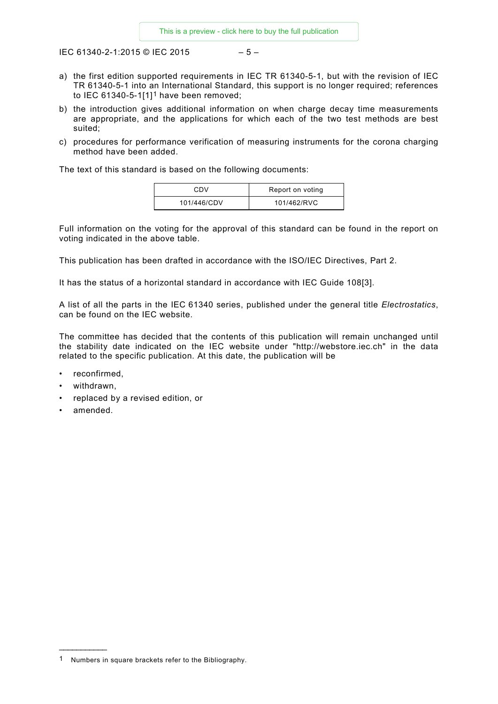IEC 61340-2-1:2015 © IEC 2015 – 5 –

- a) the first edition supported requirements in IEC TR 61340-5-1, but with the revision of IEC TR 61340-5-1 into an International Standard, this support is no longer required; references to IEC 61340-5-1[1][1](#page-4-0) have been removed;
- b) the introduction gives additional information on when charge decay time measurements are appropriate, and the applications for which each of the two test methods are best suited;
- c) procedures for performance verification of measuring instruments for the corona charging method have been added.

The text of this standard is based on the following documents:

| CDV         | Report on voting |
|-------------|------------------|
| 101/446/CDV | 101/462/RVC      |

Full information on the voting for the approval of this standard can be found in the report on voting indicated in the above table.

This publication has been drafted in accordance with the ISO/IEC Directives, Part 2.

It has the status of a horizontal standard in accordance with IEC Guide 108[3].

A list of all the parts in the IEC 61340 series, published under the general title *Electrostatics*, can be found on the IEC website.

The committee has decided that the contents of this publication will remain unchanged until the stability date indicated on the IEC website under "http://webstore.iec.ch" in the data related to the specific publication. At this date, the publication will be

- reconfirmed.
- withdrawn.
- replaced by a revised edition, or
- amended.

\_\_\_\_\_\_\_\_\_\_\_

<span id="page-4-0"></span><sup>1</sup> Numbers in square brackets refer to the Bibliography.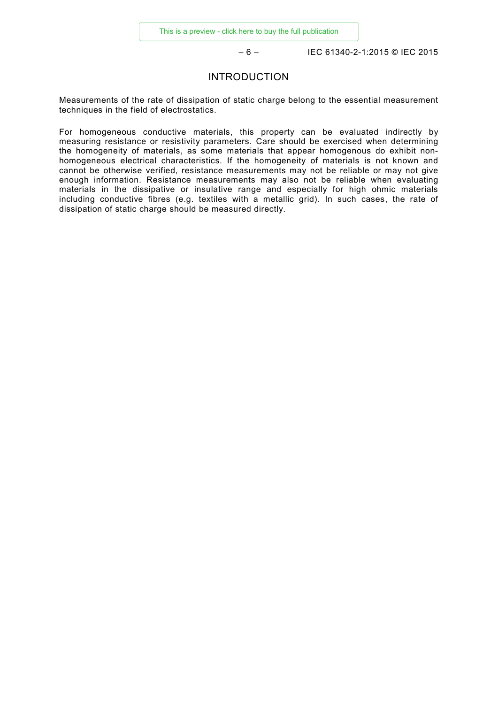– 6 – IEC 61340-2-1:2015 © IEC 2015

#### INTRODUCTION

<span id="page-5-0"></span>Measurements of the rate of dissipation of static charge belong to the essential measurement techniques in the field of electrostatics.

For homogeneous conductive materials, this property can be evaluated indirectly by measuring resistance or resistivity parameters. Care should be exercised when determining the homogeneity of materials, as some materials that appear homogenous do exhibit nonhomogeneous electrical characteristics. If the homogeneity of materials is not known and cannot be otherwise verified, resistance measurements may not be reliable or may not give enough information. Resistance measurements may also not be reliable when evaluating materials in the dissipative or insulative range and especially for high ohmic materials including conductive fibres (e.g. textiles with a metallic grid). In such cases, the rate of dissipation of static charge should be measured directly.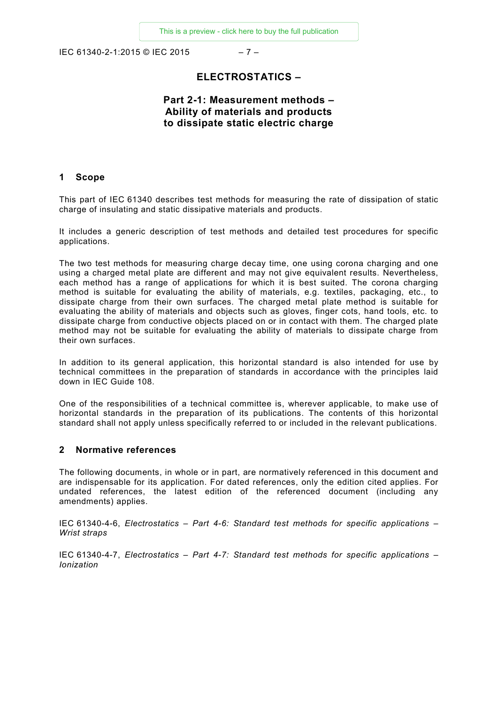IEC 61340-2-1:2015 © IEC 2015 – 7 –

#### **ELECTROSTATICS –**

#### **Part 2-1: Measurement methods – Ability of materials and products to dissipate static electric charge**

#### <span id="page-6-0"></span>**1 Scope**

This part of IEC 61340 describes test methods for measuring the rate of dissipation of static charge of insulating and static dissipative materials and products.

It includes a generic description of test methods and detailed test procedures for specific applications.

The two test methods for measuring charge decay time, one using corona charging and one using a charged metal plate are different and may not give equivalent results. Nevertheless, each method has a range of applications for which it is best suited. The corona charging method is suitable for evaluating the ability of materials, e.g. textiles, packaging, etc., to dissipate charge from their own surfaces. The charged metal plate method is suitable for evaluating the ability of materials and objects such as gloves, finger cots, hand tools, etc. to dissipate charge from conductive objects placed on or in contact with them. The charged plate method may not be suitable for evaluating the ability of materials to dissipate charge from their own surfaces.

In addition to its general application, this horizontal standard is also intended for use by technical committees in the preparation of standards in accordance with the principles laid down in IEC Guide 108.

One of the responsibilities of a technical committee is, wherever applicable, to make use of horizontal standards in the preparation of its publications. The contents of this horizontal standard shall not apply unless specifically referred to or included in the relevant publications.

#### <span id="page-6-1"></span>**2 Normative references**

The following documents, in whole or in part, are normatively referenced in this document and are indispensable for its application. For dated references, only the edition cited applies. For undated references, the latest edition of the referenced document (including any amendments) applies.

IEC 61340-4-6, *Electrostatics – Part 4-6: Standard test methods for specific applications – Wrist straps*

<span id="page-6-2"></span>IEC 61340-4-7, *Electrostatics – Part 4-7: Standard test methods for specific applications – Ionization*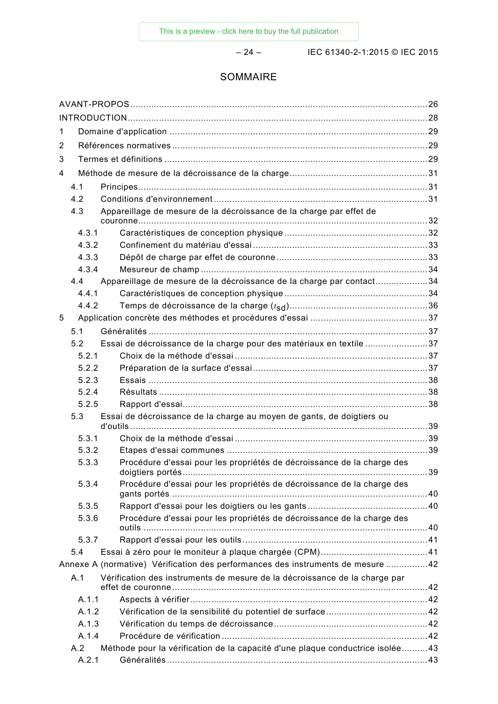– 24 – IEC 61340-2-1:2015 © IEC 2015

#### SOMMAIRE

| 1 |       |                                                                                 |  |
|---|-------|---------------------------------------------------------------------------------|--|
| 2 |       |                                                                                 |  |
| 3 |       |                                                                                 |  |
| 4 |       |                                                                                 |  |
|   | 4.1   |                                                                                 |  |
|   | 4.2   |                                                                                 |  |
|   | 4.3   | Appareillage de mesure de la décroissance de la charge par effet de             |  |
|   | 4.3.1 |                                                                                 |  |
|   | 4.3.2 |                                                                                 |  |
|   | 4.3.3 |                                                                                 |  |
|   | 4.3.4 |                                                                                 |  |
|   | 4.4   | Appareillage de mesure de la décroissance de la charge par contact34            |  |
|   | 4.4.1 |                                                                                 |  |
|   | 4.4.2 |                                                                                 |  |
| 5 |       |                                                                                 |  |
|   | 5.1   |                                                                                 |  |
|   | 5.2   | Essai de décroissance de la charge pour des matériaux en textile 37             |  |
|   | 5.2.1 |                                                                                 |  |
|   | 5.2.2 |                                                                                 |  |
|   | 5.2.3 |                                                                                 |  |
|   | 5.2.4 |                                                                                 |  |
|   | 5.2.5 |                                                                                 |  |
|   | 5.3   | Essai de décroissance de la charge au moyen de gants, de doigtiers ou           |  |
|   | 5.3.1 |                                                                                 |  |
|   | 5.3.2 |                                                                                 |  |
|   | 5.3.3 | Procédure d'essai pour les propriétés de décroissance de la charge des          |  |
|   | 5.3.4 | Procédure d'essai pour les propriétés de décroissance de la charge des          |  |
|   | 5.3.5 |                                                                                 |  |
|   | 5.3.6 | Procédure d'essai pour les propriétés de décroissance de la charge des          |  |
|   | 5.3.7 |                                                                                 |  |
|   | 5.4   |                                                                                 |  |
|   |       | Annexe A (normative) Vérification des performances des instruments de mesure 42 |  |
|   | A.1   | Vérification des instruments de mesure de la décroissance de la charge par      |  |
|   | A.1.1 |                                                                                 |  |
|   | A.1.2 |                                                                                 |  |
|   | A.1.3 |                                                                                 |  |
|   | A.1.4 |                                                                                 |  |
|   | A.2   | Méthode pour la vérification de la capacité d'une plaque conductrice isolée43   |  |
|   | A.2.1 |                                                                                 |  |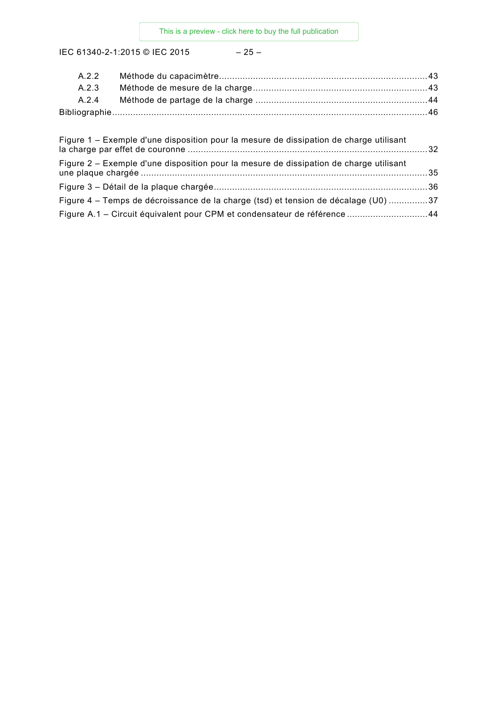IEC 61340-2-1:2015 © IEC 2015 – 25 –

| A.2.2 |  |
|-------|--|
| A 2 3 |  |
| A.2.4 |  |
|       |  |

| Figure 1 – Exemple d'une disposition pour la mesure de dissipation de charge utilisant |  |
|----------------------------------------------------------------------------------------|--|
| Figure 2 – Exemple d'une disposition pour la mesure de dissipation de charge utilisant |  |
|                                                                                        |  |
| Figure 4 – Temps de décroissance de la charge (tsd) et tension de décalage (U0) 37     |  |
| Figure A.1 - Circuit équivalent pour CPM et condensateur de référence 44               |  |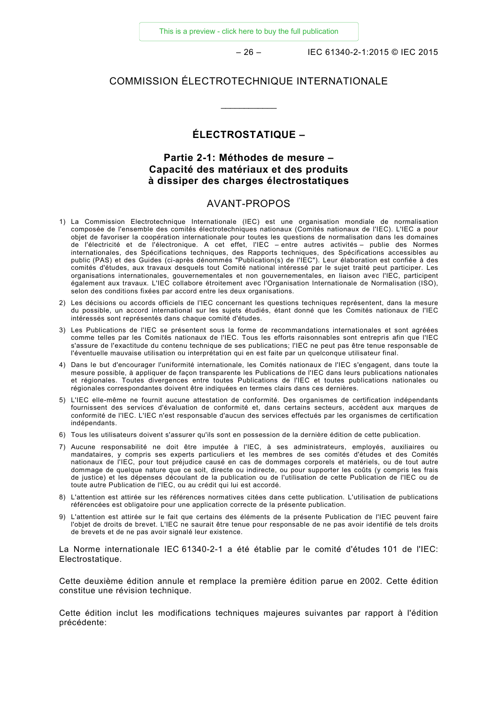[This is a preview - click here to buy the full publication](https://webstore.iec.ch/publication/23186&preview=1)

– 26 – IEC 61340-2-1:2015 © IEC 2015

#### COMMISSION ÉLECTROTECHNIQUE INTERNATIONALE

 $\overline{\phantom{a}}$ 

#### **ÉLECTROSTATIQUE –**

#### **Partie 2-1: Méthodes de mesure – Capacité des matériaux et des produits à dissiper des charges électrostatiques**

#### AVANT-PROPOS

- <span id="page-9-0"></span>1) La Commission Electrotechnique Internationale (IEC) est une organisation mondiale de normalisation composée de l'ensemble des comités électrotechniques nationaux (Comités nationaux de l'IEC). L'IEC a pour objet de favoriser la coopération internationale pour toutes les questions de normalisation dans les domaines de l'électricité et de l'électronique. A cet effet, l'IEC – entre autres activités – publie des Normes internationales, des Spécifications techniques, des Rapports techniques, des Spécifications accessibles au public (PAS) et des Guides (ci-après dénommés "Publication(s) de l'IEC"). Leur élaboration est confiée à des comités d'études, aux travaux desquels tout Comité national intéressé par le sujet traité peut participer. Les organisations internationales, gouvernementales et non gouvernementales, en liaison avec l'IEC, participent également aux travaux. L'IEC collabore étroitement avec l'Organisation Internationale de Normalisation (ISO), selon des conditions fixées par accord entre les deux organisations.
- 2) Les décisions ou accords officiels de l'IEC concernant les questions techniques représentent, dans la mesure du possible, un accord international sur les sujets étudiés, étant donné que les Comités nationaux de l'IEC intéressés sont représentés dans chaque comité d'études.
- 3) Les Publications de l'IEC se présentent sous la forme de recommandations internationales et sont agréées comme telles par les Comités nationaux de l'IEC. Tous les efforts raisonnables sont entrepris afin que l'IEC s'assure de l'exactitude du contenu technique de ses publications; l'IEC ne peut pas être tenue responsable de l'éventuelle mauvaise utilisation ou interprétation qui en est faite par un quelconque utilisateur final.
- 4) Dans le but d'encourager l'uniformité internationale, les Comités nationaux de l'IEC s'engagent, dans toute la mesure possible, à appliquer de façon transparente les Publications de l'IEC dans leurs publications nationales et régionales. Toutes divergences entre toutes Publications de l'IEC et toutes publications nationales ou régionales correspondantes doivent être indiquées en termes clairs dans ces dernières.
- 5) L'IEC elle-même ne fournit aucune attestation de conformité. Des organismes de certification indépendants fournissent des services d'évaluation de conformité et, dans certains secteurs, accèdent aux marques de conformité de l'IEC. L'IEC n'est responsable d'aucun des services effectués par les organismes de certification indépendants.
- 6) Tous les utilisateurs doivent s'assurer qu'ils sont en possession de la dernière édition de cette publication.
- 7) Aucune responsabilité ne doit être imputée à l'IEC, à ses administrateurs, employés, auxiliaires ou mandataires, y compris ses experts particuliers et les membres de ses comités d'études et des Comités nationaux de l'IEC, pour tout préjudice causé en cas de dommages corporels et matériels, ou de tout autre dommage de quelque nature que ce soit, directe ou indirecte, ou pour supporter les coûts (y compris les frais de justice) et les dépenses découlant de la publication ou de l'utilisation de cette Publication de l'IEC ou de toute autre Publication de l'IEC, ou au crédit qui lui est accordé.
- 8) L'attention est attirée sur les références normatives citées dans cette publication. L'utilisation de publications référencées est obligatoire pour une application correcte de la présente publication.
- 9) L'attention est attirée sur le fait que certains des éléments de la présente Publication de l'IEC peuvent faire l'objet de droits de brevet. L'IEC ne saurait être tenue pour responsable de ne pas avoir identifié de tels droits de brevets et de ne pas avoir signalé leur existence.

La Norme internationale IEC 61340-2-1 a été établie par le comité d'études 101 de l'IEC: Electrostatique.

Cette deuxième édition annule et remplace la première édition parue en 2002. Cette édition constitue une révision technique.

Cette édition inclut les modifications techniques majeures suivantes par rapport à l'édition précédente: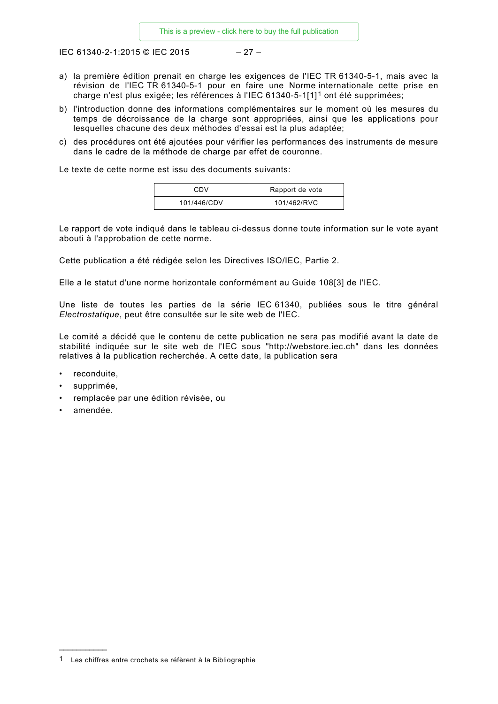IEC 61340-2-1:2015 © IEC 2015 – 27 –

- a) la première édition prenait en charge les exigences de l'IEC TR 61340-5-1, mais avec la révision de l'IEC TR 61340-5-1 pour en faire une Norme internationale cette prise en charge n'est plus exigée; les références à l'IEC 61340-5-1[1][1](#page-10-0) ont été supprimées;
- b) l'introduction donne des informations complémentaires sur le moment où les mesures du temps de décroissance de la charge sont appropriées, ainsi que les applications pour lesquelles chacune des deux méthodes d'essai est la plus adaptée;
- c) des procédures ont été ajoutées pour vérifier les performances des instruments de mesure dans le cadre de la méthode de charge par effet de couronne.

Le texte de cette norme est issu des documents suivants:

| CDV         | Rapport de vote |
|-------------|-----------------|
| 101/446/CDV | 101/462/RVC     |

Le rapport de vote indiqué dans le tableau ci-dessus donne toute information sur le vote ayant abouti à l'approbation de cette norme.

Cette publication a été rédigée selon les Directives ISO/IEC, Partie 2.

Elle a le statut d'une norme horizontale conformément au Guide 108[3] de l'IEC.

Une liste de toutes les parties de la série IEC 61340, publiées sous le titre général *Electrostatique*, peut être consultée sur le site web de l'IEC.

Le comité a décidé que le contenu de cette publication ne sera pas modifié avant la date de stabilité indiquée sur le site web de l'IEC sous "http://webstore.iec.ch" dans les données relatives à la publication recherchée. A cette date, la publication sera

- reconduite,
- supprimée,
- remplacée par une édition révisée, ou
- amendée.

 $\overline{\phantom{a}}$ 

<span id="page-10-0"></span><sup>1</sup> Les chiffres entre crochets se réfèrent à la Bibliographie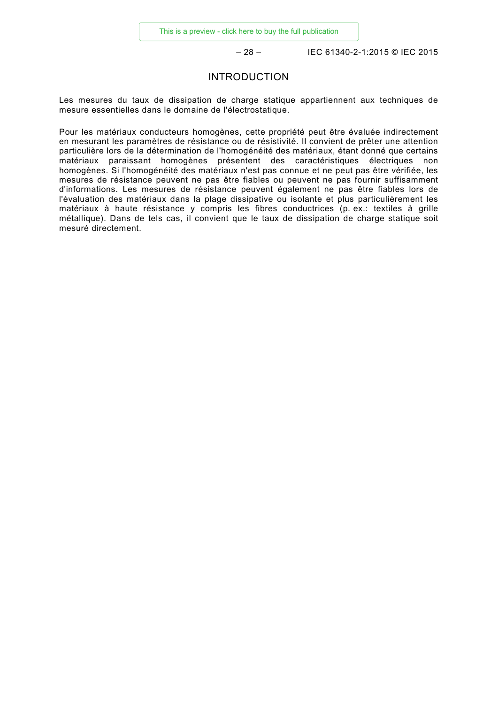– 28 – IEC 61340-2-1:2015 © IEC 2015

#### INTRODUCTION

<span id="page-11-0"></span>Les mesures du taux de dissipation de charge statique appartiennent aux techniques de mesure essentielles dans le domaine de l'électrostatique.

Pour les matériaux conducteurs homogènes, cette propriété peut être évaluée indirectement en mesurant les paramètres de résistance ou de résistivité. Il convient de prêter une attention particulière lors de la détermination de l'homogénéité des matériaux, étant donné que certains matériaux paraissant homogènes présentent des caractéristiques électriques non homogènes. Si l'homogénéité des matériaux n'est pas connue et ne peut pas être vérifiée, les mesures de résistance peuvent ne pas être fiables ou peuvent ne pas fournir suffisamment d'informations. Les mesures de résistance peuvent également ne pas être fiables lors de l'évaluation des matériaux dans la plage dissipative ou isolante et plus particulièrement les matériaux à haute résistance y compris les fibres conductrices (p. ex.: textiles à grille métallique). Dans de tels cas, il convient que le taux de dissipation de charge statique soit mesuré directement.